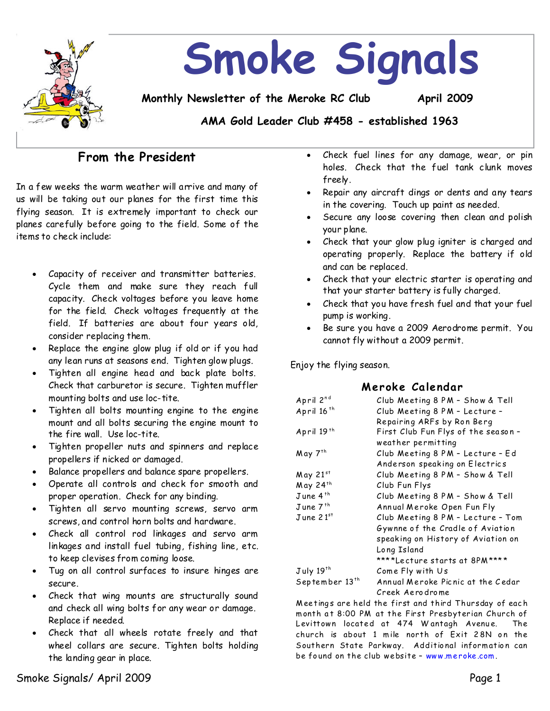

## **From the President**

In a few weeks the warm weather will arrive and many of us will be taking out our planes for the first time this flying season. It is extremely important to check our planes carefully before going to the field. Some of the items to check include:

- Capacity of receiver and transmitter batteries. Cycle them and make sure they reach full capacity. Check voltages before you leave home for the field. Check voltages frequently at the field. If batteries are about four years old, consider replacing them.
- Replace the engine glow plug if old or if you had any lean runs at seasons end. Tighten glow plugs.
- Tighten all engine head and back plate bolts. Check that carburetor is secure. Tighten muffler mounting bolts and use loc-tite.
- Tighten all bolts mounting engine to the engine mount and all bolts securing the engine mount to the fire wall. Use loc-tite.
- Tighten propeller nuts and spinners and replace propellers if nicked or damaged.
- Balance propellers and balance spare propellers.
- Operate all controls and check for smooth and proper operation. Check for any binding.
- · Tighten all servo mounting screws, servo arm screws, and control horn bolts and hardware.
- · Check all control rod linkages and servo arm linkages and install fuel tubing, fishing line, etc. to keep clevises from coming loose.
- Tug on all control surfaces to insure hinges are secure.
- Check that wing mounts are structurally sound and check all wing bolts for any wear or damage. Replace if needed.
- Check that all wheels rotate freely and that wheel collars are secure. Tighten bolts holding the landing gear in place.
- Check fuel lines for any damage, wear, or pin holes. Check that the fuel tank clunk moves freely.
- Repair any aircraft dings or dents and any tears in the covering. Touch up paint as needed.
- Secure any loose covering then clean and polish your plane.
- · Check that your glow plug igniter is charged and operating properly. Replace the battery if old and can be replaced.
- · Check that your electric starter is operating and that your starter battery is fully charged.
- Check that you have fresh fuel and that your fuel pump is working.
- Be sure you have a 2009 Aerodrome permit. You cannot fly without a2009 permit.

Enjoy the flying season.

#### **M er ok e Cale ndar**

| April 2nd                  | Club Meeting 8 PM - Show & Tell                                                                                            |  |
|----------------------------|----------------------------------------------------------------------------------------------------------------------------|--|
| April 16 <sup>th</sup>     | Club Meeting 8 PM - Lecture -                                                                                              |  |
|                            | Repairing ARFs by Ron Berg                                                                                                 |  |
| April 19th                 | First Club Fun Flys of the season -                                                                                        |  |
|                            | weather permitting                                                                                                         |  |
| May 7 <sup>th</sup>        | Club Meeting 8 PM - Lecture - Ed                                                                                           |  |
|                            | Anderson speaking on Electrics                                                                                             |  |
| May 21st                   | Club Meeting 8 PM - Show & Tell                                                                                            |  |
| May 24th                   | Club Fun Flys                                                                                                              |  |
| June 4 <sup>th</sup>       | Club Meeting 8 PM - Show & Tell                                                                                            |  |
| June 7 <sup>th</sup>       | Annual Meroke Open Fun Fly                                                                                                 |  |
| $J$ une $21st$             | Club Meeting 8 PM - Lecture - Tom<br>Gywnne of the Cradle of Aviation<br>speaking on History of Aviation on<br>Long Island |  |
|                            |                                                                                                                            |  |
|                            |                                                                                                                            |  |
|                            |                                                                                                                            |  |
|                            | ****Lecture starts at 8PM****                                                                                              |  |
| July 19 <sup>th</sup>      | Come Fly with Us                                                                                                           |  |
| September 13 <sup>th</sup> | Annual Meroke Picnic at the Cedar                                                                                          |  |
|                            | Creek Aerodrome                                                                                                            |  |

Meetings are held the first and third Thursday of each month at 8:00 PM at the First Presbyterian Church of Levittown located at 474 Wantagh Avenue. The church is about 1 mile north of Exit 28N on the Southern State Parkway. Additional information can be found on the club website - www.meroke.com.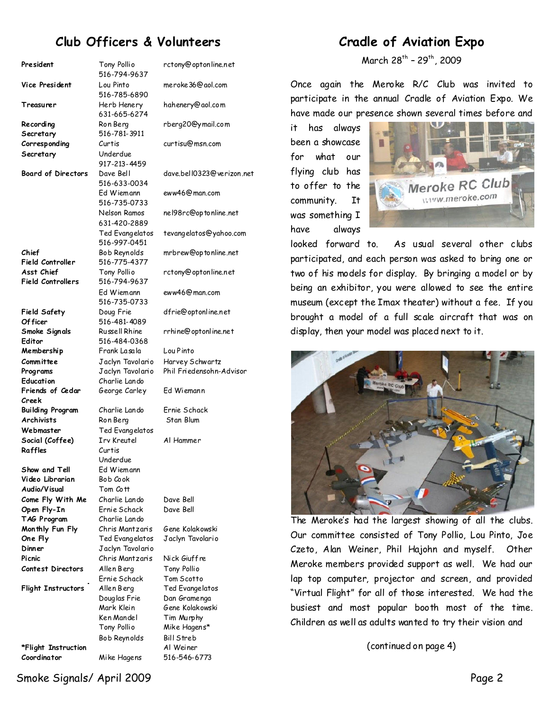# **Club Officers & Volunteers**

| President                                    | Tony Pollio<br>516-794-9637 | rctony@optonline.net      |
|----------------------------------------------|-----------------------------|---------------------------|
| Vice President                               | Lou Pinto                   | meroke36@aol.com          |
|                                              | 516-785-6890                |                           |
| Treasurer                                    | Herb Henery                 | hahenery@aol.com          |
|                                              | 631-665-6274                |                           |
| Recording                                    | Ron Berg                    | rberg20@ymail.com         |
| Secretary                                    | 516-781-3911                |                           |
| Corresponding                                | Curtis                      | curtisu@msn.com           |
| Secretary                                    | Underdue                    |                           |
|                                              | 917-213-4459                |                           |
| <b>Board of Directors</b>                    | Dave Bell                   | dave.bell0323@verizon.n   |
|                                              | 516-633-0034                |                           |
|                                              | Ed Wiemann                  | eww46@man.com             |
|                                              | 516-735-0733                |                           |
|                                              | Nelson Ramos                | nel98rc@optonline.net     |
|                                              | 631-420-2889                |                           |
|                                              | Ted Evangelatos             | tevangelatos@yahoo.com    |
|                                              | 516-997-0451                |                           |
| Chief                                        | Bob Reynolds                | mrbrew@optonline.net      |
| <b>Field Controller</b>                      | 516-775-4377                |                           |
| Asst Chief                                   | Tony Pollio                 | rctony@optonline.net      |
| <b>Field Controllers</b>                     | 516-794-9637                |                           |
|                                              | Ed Wiemann                  | eww46@man.com             |
|                                              | 516-735-0733                |                           |
| <b>Field Safety</b>                          | Doug Frie                   | dfrie@optonline.net       |
| Of ficer                                     | 516-481-4089                |                           |
| Smoke Signals                                | Russell Rhine               | rrhine@optonline.net      |
| Editor                                       | 516-484-0368                |                           |
| Membership                                   | Frank La <i>s</i> ala       | Lou Pinto                 |
| Committee                                    | Jaclyn Tavolario            | Harvey Schwartz           |
| Programs                                     | Jaclyn Tavolario            | Phil Friedensohn-Advisor  |
| Education                                    | Charlie Lando               |                           |
| Friends of Cedar                             | George Carley               | Ed Wiemann                |
| Creek                                        |                             |                           |
| <b>Building Program</b><br><b>Archivists</b> | Charlie Lando               | Ernie Schack<br>Stan Blum |
| Webmaster                                    | Ron Berg<br>Ted Evangelatos |                           |
| Social (Coffee)                              | <b>Irv Kreutel</b>          | Al Hammer                 |
| Raffles                                      | Curtis                      |                           |
|                                              | Underdue                    |                           |
| Show and Tell                                | Ed Wiemann                  |                           |
| Video Librarian                              | Bob Cook                    |                           |
| Audio/Visual                                 | Tom Cott                    |                           |
| Come Fly With Me                             | Charlie Lando               | Dave Bell                 |
| Open Fly-In                                  | Ernie Schack                | Dave Bell                 |
| TAG Program                                  | Charlie Lando               |                           |
| Monthly Fun Fly                              | Chris Mantzaris             | Gene Kolakowski           |
| One Fly                                      | Ted Evangelatos             | Jaclyn Tavolario          |
| Dinner                                       | Jaclyn Tavolario            |                           |
| Picnic                                       | Chris Mantzaris             | Nick Giuffre              |
| <b>Contest Directors</b>                     | Allen Berg                  | Tony Pollio               |
|                                              | Ernie Schack                | Tom Scotto                |
| <b>Flight Instructors</b>                    | Allen Berg                  | Ted Evangelatos           |
|                                              | Douglas Frie                | Dan Gramenga              |
|                                              | Mark Klein                  | Gene Kolakowski           |
|                                              | Ken Mandel                  | Tim Murphy                |
|                                              | Tony Pollio                 | Mike Hagens*              |
|                                              | Bob Reynolds                | Bill Streb                |
| *Flight Instruction<br>Coordinator           |                             | Al Weiner<br>516-546-6773 |
|                                              | Mike Hagens                 |                           |

ony@optonline.net meroke36@aol.com henery@aol.com rberg20@ymail.com tisu@msn.com dave.bell0323@verizon.net w46@man.com nel98rc@optonline.net angelatos@yahoo.com brew@optonline.net ony@optonline.net w46@man.com dfrie@optonline.net nine@optonline.net u Pinto rvey Schwartz Wiemann **An Blum** m Scotto n Gramenga ne Kolakowski n Murphy ke Hagens\* Streb

# **Cradle of Aviation Expo**

March 28<sup>th</sup> - 29<sup>th</sup>, 2009

Once again the Meroke R/C Club was invited to participate in the annual Cradle of Aviation Expo. We have made our presence shown several times before and

it has always been a showcase for what our flying club has to offer to the community. It was something I have always



looked forward to. As usual several other clubs participated, and each person was asked to bring one or two of his models for display. By bringing a model or by being an exhibitor, you were allowed to see the entire museum (except the Imaxtheater) without a fee. If you brought a model of a full scale aircraft that was on display, then your model was placed next to it.



The Meroke's had the largest showing of all the clubs. Our committee consisted of Tony Pollio, Lou Pinto, Joe Czeto, Alan Weiner, Phil Hajohn and myself. Other Meroke members provided support as well. We had our lap top computer, projector and screen, and provided "Virtual Flight" for all of those interested. We had the busiest and most popular booth most of the time. Children as well as adults wanted to try their vision and

(continued on page 4)

Smoke Signals/ April 2009 Page 2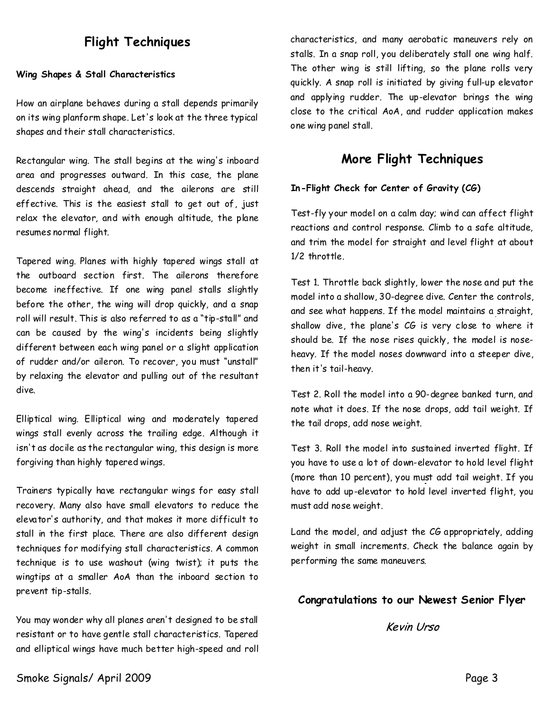# **Flight Techniques**

#### **Wing Shapes & Stall Characteristics**

How an airplane behaves during a stall depends primarily on its wing planform shape. Let's look at the three typical shapes and their stall characteristics.

Rectangular wing. The stall begins at the wing's inboard area and progresses outward. In this case, the plane descends straight ahead, and the ailerons are still effective. This is the easiest stall to get out of, just relax the elevator, and with enough altitude, the plane resumes normal flight.

Tapered wing. Planes with highly tapered wings stall at the outboard section first. The ailerons therefore become ineffective. If one wing panel stalls slightly before the other, the wing will drop quickly, and a snap roll will result. This is also referred to as a "tip-stall" and can be caused by the wing's incidents being slightly different between each wing panel or a slight application of rudder and/or aileron. To recover, you must "unstall" by relaxing the elevator and pulling out of the resultant dive.

Elliptical wing. Elliptical wing and moderately tapered wings stall evenly across the trailing edge. Although it isn't as docile as the rectangular wing, this design is more forgiving than highly tapered wings.

Trainers typically have rectangular wings for easy stall recovery. Many also have small elevators to reduce the elevator's authority, and that makes it more difficult to stall in the first place. There are also different design techniques for modifying stall characteristics. A common technique is to use washout (wing twist); it puts the wingtips at a smaller AoA than the inboard section to prevent tip-stalls.

You may wonder why all planes aren't designed to be stall resistant or to have gentle stall characteristics. Tapered and elliptical wings have much better high-speed and roll characteristics, and many aerobatic maneuvers rely on stalls. In a snap roll, you deliberately stall one wing half. The other wing is still lifting, so the plane rolls very quickly. A snap roll is initiated by giving full-up elevator and applying rudder. The up-elevator brings the wing close to the critical AoA, and rudder application makes one wing panel stall.

### **More Flight Techniques**

#### **In-Flight Check for Center of Gravity (CG)**

Test-fly your model on a calm day; wind can affect flight reactions and control response. Climb to a safe altitude, and trim the model for straight and level flight at about 1/2 throttle.

Test 1. Throttle back slightly, lower the nose and put the model into a shallow, 30-degree dive. Center the controls, and see what happens. If the model maintains a straight, shallow dive, the plane's CG is very close to where it should be. If the nose rises quickly, the model is nose heavy. If the model noses downward into a steeper dive, then it's tail-heavy.

Test 2. Roll the model into a 90-degree banked turn, and note what it does. If the nosedrops, add tail weight. If the tail drops, add nose weight.

Test 3. Roll the model into sustained inverted flight. If you have to use a lot of down-elevator to hold level flight (more than 10 percent), you must add tail weight. If you have to add up-elevator to hold level inverted flight, you must add nose weight.

Land the model, and adjust the CG appropriately, adding weight in small increments. Check the balance again by performing the same maneuvers.

#### **Congratulations to our Newest Senior Flyer**

**Kevin Urso**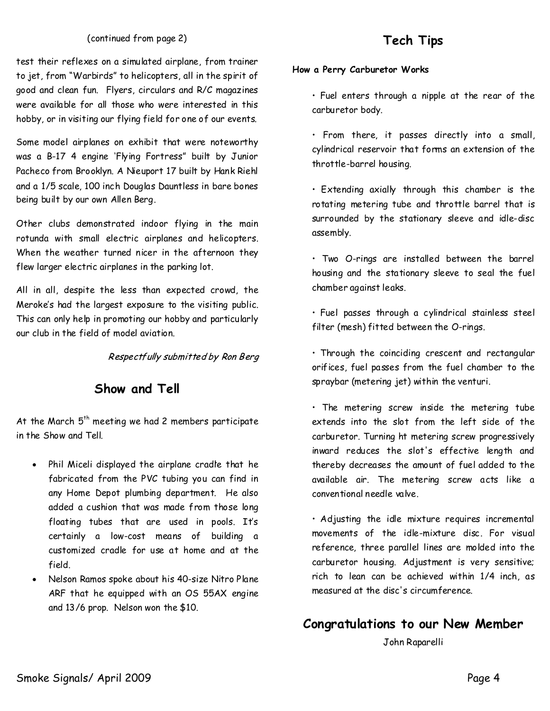#### (continued from page 2)

test their reflexes on a simulated airplane, from trainer to jet, from "Warbirds" to helicopters, all in the spirit of good and clean fun. Flyers, circulars and R/C magazines were available for all those who were interested in this hobby, or in visiting our flying field for one of our events.

Some model airplanes on exhibit that were noteworthy was a B-17 4 engine 'Flying Fortress" built by Junior Pacheco from Brooklyn. A Nieuport 17 built by Hank Riehl and a 1/5 scale, 100 inch Douglas Dauntless in bare bones being built by our own Allen Berg.

Other clubs demonstrated indoor flying in the main rotunda with small electric airplanes and helicopters. When the weather turned nicer in the afternoon they flew larger electric airplanes in the parking lot.

All in all, despite the less than expected crowd, the Meroke's had the largest exposure to the visiting public. This can only help in promoting our hobby and particularly our club in the field of model aviation.

Respectfully submitted by Ron Berg

### **Show and Tell**

At the March  $5<sup>th</sup>$  meeting we had 2 members participate in the Show and Tell.

- Phil Miceli displayed the airplane cradle that he fabricated from the PVC tubing you can find in any Home Depot plumbing department. He also added a cushion that was made from those long floating tubes that are used in pools. It's certainly a low-cost means of building a customized cradle for use at home and at the field.
- Nelson Ramos spoke about his 40-size Nitro Plane ARF that he equipped with an OS 55AX engine and 13/6 prop. Nelson won the \$10.

# **Tech Tips**

#### **How a Perry Carburetor Works**

• Fuel enters through a nipple at the rear of the carburetor body.

• From there, it passes directly into a small, cylindrical reservoir that forms anextension of the throttle-barrel housing.

• Extending axially through this chamber is the rotating metering tube and throttle barrel that is surrounded by the stationary sleeve and idle-disc assembly.

• Two O-rings are installed between the barrel housingand the stationary sleeve to seal the fuel chamber against leaks.

• Fuel passes through a cylindrical stainless steel filter (mesh) fitted between the O-rings.

• Through the coinciding crescent and rectangular orifices, fuel passes from the fuel chamber to the spraybar (metering jet) within the venturi.

• The metering screw inside the metering tube extends into the slot from the left side of the carburetor. Turning ht metering screw progressively inward reduces the slot's effective length and thereby decreases the amount of fuel added to the available air. The metering screw acts like a conventional needle valve.

• Adjusting the idle mixture requires incremental movements of the idle-mixture disc. For visual reference, three parallel lines are molded into the carburetor housing. Adjustment is very sensitive; rich to lean can be achieved within 1/4 inch, as measured at the disc's circumference.

## **Congratulations to our New Member**

John Raparelli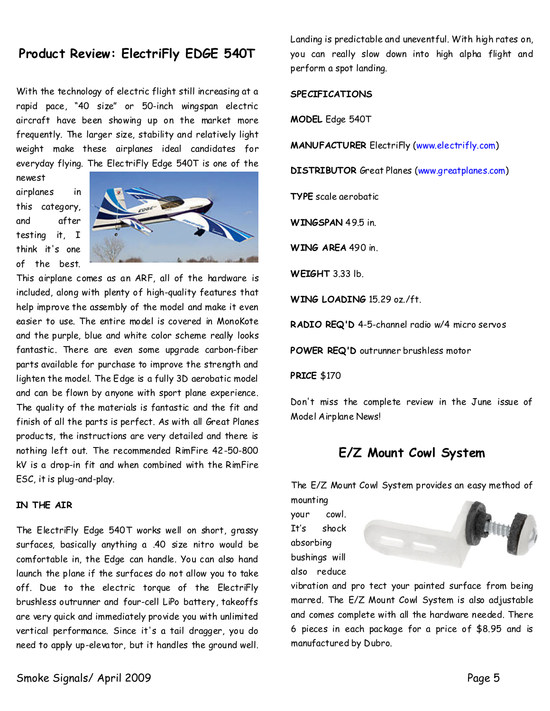### Product Review: ElectriFly EDGE 540T

With the technology of electric flight still increasing at a rapid pace, "40 size" or 50-inch wingspan electric aircraft have been showing up on the market more frequently. The larger size, stability and relatively light weight make these airplanes ideal candidates for everyday flying. The ElectriFly Edge 540T is one of the

newest airplanes in this category, and after testing it, I think it's one of the best.



This airplane comes as an ARF, all of the hardware is included, along with plenty of high-quality features that help improve the assembly of the model and make it even easier to use. The entire model is covered in MonoKote and the purple, blue and white color scheme really looks fantastic. There are even some upgrade carbon-fiber parts available for purchase to improve the strength and lighten the model. The Edge is a fully 3D aerobatic model and can be flown by anyone with sport plane experience. The quality of the materials is fantastic and the fit and finish of all the parts is perfect. As with all Great Planes products, the instructions are very detailed and there is nothing left out. The recommended RimFire 42-50-800 kV is a drop-in fit and when combined with the RimFire ESC, it is plug-and-play.

#### **IN THE AIR**

The ElectriFly Edge 540T works well on short, grassy surfaces, basically anything a .40 size nitro would be comfortable in, the Edge can handle. You can also hand launch the plane if the surfaces do not allow you to take off. Due to the electric torque of the ElectriFly brushless outrunner and four-cell LiPo battery, takeoffs are very quick and immediately provide you with unlimited vertical performance. Since it's a tail dragger, you do need to apply up-elevator, but it handles the ground well. Landing is predictable and uneventful. With high rates on, you can really slow down into high alpha flight and perform a spot landing.

#### **SPECIFICATIONS**

**MODEL**Edge 540T

**MANUFACTURER**ElectriFly (www.electrifly.com)

**DISTRIBUTOR**Great Planes (www.greatplanes.com)

**TYPE**scale aerobatic

**WINGSPAN**49.5 in.

**WING AREA**490 in.

**WEIGHT**3.33 lb.

**WING LOADING**15.29 oz./ft.

**RADIO REQ'D**4-5-channel radio w/4 micro servos

POWER REQ'D outrunner brushless motor

**PRICE**\$170

Don't miss the complete review in the June issue of Model Airplane News!

## **E/Z Mount Cowl System**

The E/Z Mount Cowl System provides an easy method of mounting

your cowl. It's shock absorbing bushings will also reduce



vibration and pro tect your painted surface from being marred. The E/Z Mount Cowl System is also adjustable and comes complete with all the hardware needed.There 6 pieces in each package for a price of \$8.95 and is manufactured by Dubro.